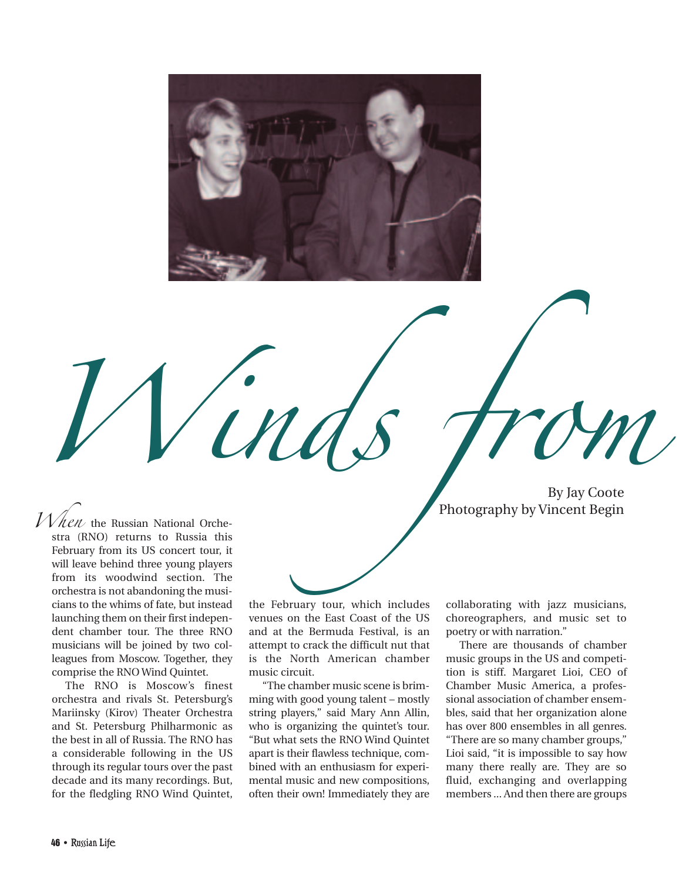

When the Russian National Orche-<br>When the Russian National Orche-<br>Photography by Vincent Begin Photography by Vincent Begin

 $1$ *N hen* the Russian National Orchestra (RNO) returns to Russia this February from its US concert tour, it will leave behind three young players from its woodwind section. The orchestra is not abandoning the musicians to the whims of fate, but instead launching them on their first independent chamber tour. The three RNO musicians will be joined by two colleagues from Moscow. Together, they comprise the RNO Wind Quintet.

The RNO is Moscow's finest orchestra and rivals St. Petersburg's Mariinsky (Kirov) Theater Orchestra and St. Petersburg Philharmonic as the best in all of Russia. The RNO has a considerable following in the US through its regular tours over the past decade and its many recordings. But, for the fledgling RNO Wind Quintet,

the February tour, which includes venues on the East Coast of the US and at the Bermuda Festival, is an attempt to crack the difficult nut that is the North American chamber music circuit.

"The chamber music scene is brimming with good young talent – mostly string players," said Mary Ann Allin, who is organizing the quintet's tour. "But what sets the RNO Wind Quintet apart is their flawless technique, combined with an enthusiasm for experimental music and new compositions, often their own! Immediately they are

collaborating with jazz musicians, choreographers, and music set to poetry or with narration."

There are thousands of chamber music groups in the US and competition is stiff. Margaret Lioi, CEO of Chamber Music America, a professional association of chamber ensembles, said that her organization alone has over 800 ensembles in all genres. "There are so many chamber groups," Lioi said, "it is impossible to say how many there really are. They are so fluid, exchanging and overlapping members ... And then there are groups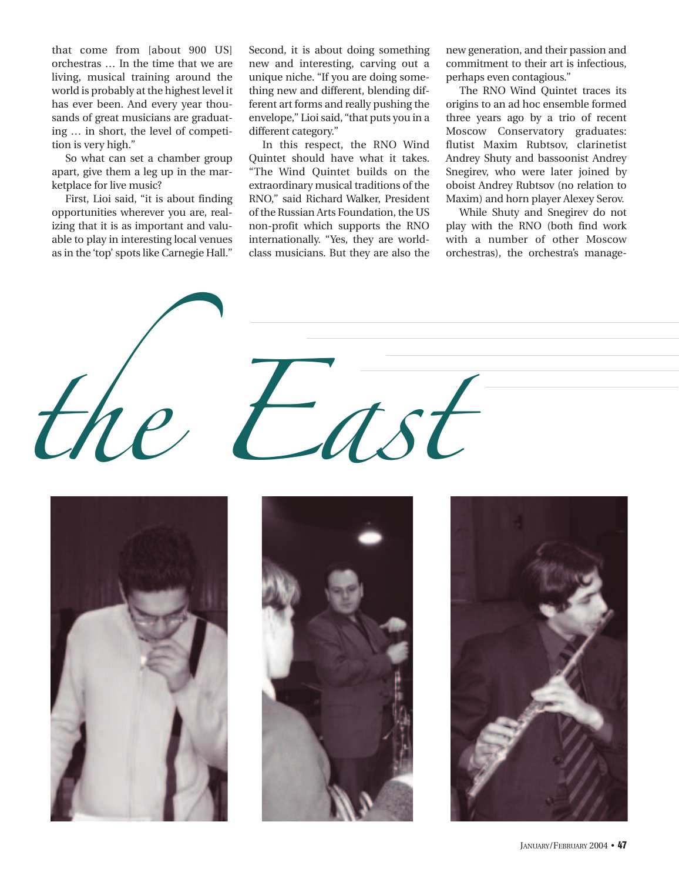that come from [about 900 US] orchestras … In the time that we are living, musical training around the world is probably at the highest level it has ever been. And every year thousands of great musicians are graduating … in short, the level of competition is very high."

So what can set a chamber group apart, give them a leg up in the marketplace for live music?

First, Lioi said, "it is about finding opportunities wherever you are, realizing that it is as important and valuable to play in interesting local venues as in the 'top' spots like Carnegie Hall."

Second, it is about doing something new and interesting, carving out a unique niche. "If you are doing something new and different, blending different art forms and really pushing the envelope," Lioi said, "that puts you in a different category."

In this respect, the RNO Wind Quintet should have what it takes. "The Wind Quintet builds on the extraordinary musical traditions of the RNO," said Richard Walker, President of the Russian Arts Foundation, the US non-profit which supports the RNO internationally. "Yes, they are worldclass musicians. But they are also the new generation, and their passion and commitment to their art is infectious, perhaps even contagious."

The RNO Wind Quintet traces its origins to an ad hoc ensemble formed three years ago by a trio of recent Moscow Conservatory graduates: flutist Maxim Rubtsov, clarinetist Andrey Shuty and bassoonist Andrey Snegirev, who were later joined by oboist Andrey Rubtsov (no relation to Maxim) and horn player Alexey Serov.

While Shuty and Snegirev do not play with the RNO (both find work with a number of other Moscow orchestras), the orchestra's manage-

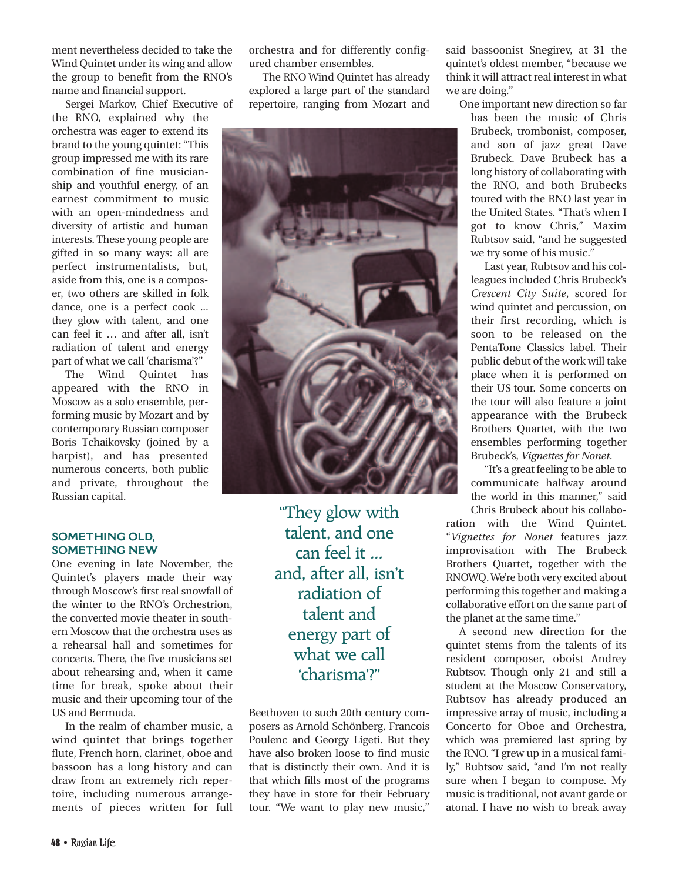ment nevertheless decided to take the Wind Quintet under its wing and allow the group to benefit from the RNO's name and financial support.

Sergei Markov, Chief Executive of

the RNO, explained why the orchestra was eager to extend its brand to the young quintet: "This group impressed me with its rare combination of fine musicianship and youthful energy, of an earnest commitment to music with an open-mindedness and diversity of artistic and human interests. These young people are gifted in so many ways: all are perfect instrumentalists, but, aside from this, one is a composer, two others are skilled in folk dance, one is a perfect cook ... they glow with talent, and one can feel it … and after all, isn't radiation of talent and energy part of what we call 'charisma'?"

The Wind Quintet has appeared with the RNO in Moscow as a solo ensemble, performing music by Mozart and by contemporary Russian composer Boris Tchaikovsky (joined by a harpist), and has presented numerous concerts, both public and private, throughout the Russian capital.

## **SOMETHING OLD, SOMETHING NEW**

One evening in late November, the Quintet's players made their way through Moscow's first real snowfall of the winter to the RNO's Orchestrion, the converted movie theater in southern Moscow that the orchestra uses as a rehearsal hall and sometimes for concerts. There, the five musicians set about rehearsing and, when it came time for break, spoke about their music and their upcoming tour of the US and Bermuda.

In the realm of chamber music, a wind quintet that brings together flute, French horn, clarinet, oboe and bassoon has a long history and can draw from an extremely rich repertoire, including numerous arrangements of pieces written for full

orchestra and for differently configured chamber ensembles.

The RNO Wind Quintet has already explored a large part of the standard repertoire, ranging from Mozart and



"They glow with talent, and one can feel it ... and, after all, isn't radiation of talent and energy part of what we call 'charisma'?"

Beethoven to such 20th century composers as Arnold Schönberg, Francois Poulenc and Georgy Ligeti. But they have also broken loose to find music that is distinctly their own. And it is that which fills most of the programs they have in store for their February tour. "We want to play new music,"

said bassoonist Snegirev, at 31 the quintet's oldest member, "because we think it will attract real interest in what we are doing."

One important new direction so far has been the music of Chris Brubeck, trombonist, composer, and son of jazz great Dave Brubeck. Dave Brubeck has a long history of collaborating with the RNO, and both Brubecks toured with the RNO last year in the United States. "That's when I got to know Chris," Maxim Rubtsov said, "and he suggested we try some of his music."

Last year, Rubtsov and his colleagues included Chris Brubeck's *Crescent City Suite*, scored for wind quintet and percussion, on their first recording, which is soon to be released on the PentaTone Classics label. Their public debut of the work will take place when it is performed on their US tour. Some concerts on the tour will also feature a joint appearance with the Brubeck Brothers Quartet, with the two ensembles performing together Brubeck's, *Vignettes for Nonet*.

"It's a great feeling to be able to communicate halfway around the world in this manner," said Chris Brubeck about his collabo-

ration with the Wind Quintet. "*Vignettes for Nonet* features jazz improvisation with The Brubeck Brothers Quartet, together with the RNOWQ. We're both very excited about performing this together and making a collaborative effort on the same part of the planet at the same time."

A second new direction for the quintet stems from the talents of its resident composer, oboist Andrey Rubtsov. Though only 21 and still a student at the Moscow Conservatory, Rubtsov has already produced an impressive array of music, including a Concerto for Oboe and Orchestra, which was premiered last spring by the RNO. "I grew up in a musical family," Rubtsov said, "and I'm not really sure when I began to compose. My music is traditional, not avant garde or atonal. I have no wish to break away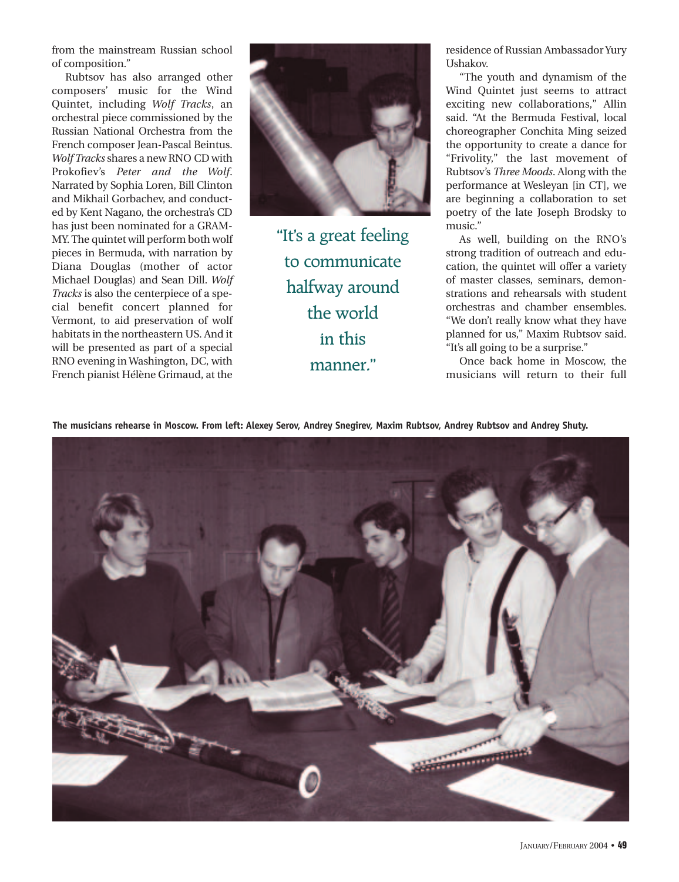from the mainstream Russian school of composition."

Rubtsov has also arranged other composers' music for the Wind Quintet, including *Wolf Tracks*, an orchestral piece commissioned by the Russian National Orchestra from the French composer Jean-Pascal Beintus. *Wolf Tracks* shares a new RNO CD with Prokofiev's *Peter and the Wolf*. Narrated by Sophia Loren, Bill Clinton and Mikhail Gorbachev, and conducted by Kent Nagano, the orchestra's CD has just been nominated for a GRAM-MY. The quintet will perform both wolf pieces in Bermuda, with narration by Diana Douglas (mother of actor Michael Douglas) and Sean Dill. *Wolf Tracks* is also the centerpiece of a special benefit concert planned for Vermont, to aid preservation of wolf habitats in the northeastern US. And it will be presented as part of a special RNO evening in Washington, DC, with French pianist Hélène Grimaud, at the



"It's a great feeling to communicate halfway around the world in this manner."

residence of Russian Ambassador Yury Ushakov.

"The youth and dynamism of the Wind Quintet just seems to attract exciting new collaborations," Allin said. "At the Bermuda Festival, local choreographer Conchita Ming seized the opportunity to create a dance for "Frivolity," the last movement of Rubtsov's *Three Moods*. Along with the performance at Wesleyan [in CT], we are beginning a collaboration to set poetry of the late Joseph Brodsky to music."

As well, building on the RNO's strong tradition of outreach and education, the quintet will offer a variety of master classes, seminars, demonstrations and rehearsals with student orchestras and chamber ensembles. "We don't really know what they have planned for us," Maxim Rubtsov said. "It's all going to be a surprise."

Once back home in Moscow, the musicians will return to their full

**The musicians rehearse in Moscow. From left: Alexey Serov, Andrey Snegirev, Maxim Rubtsov, Andrey Rubtsov and Andrey Shuty.**